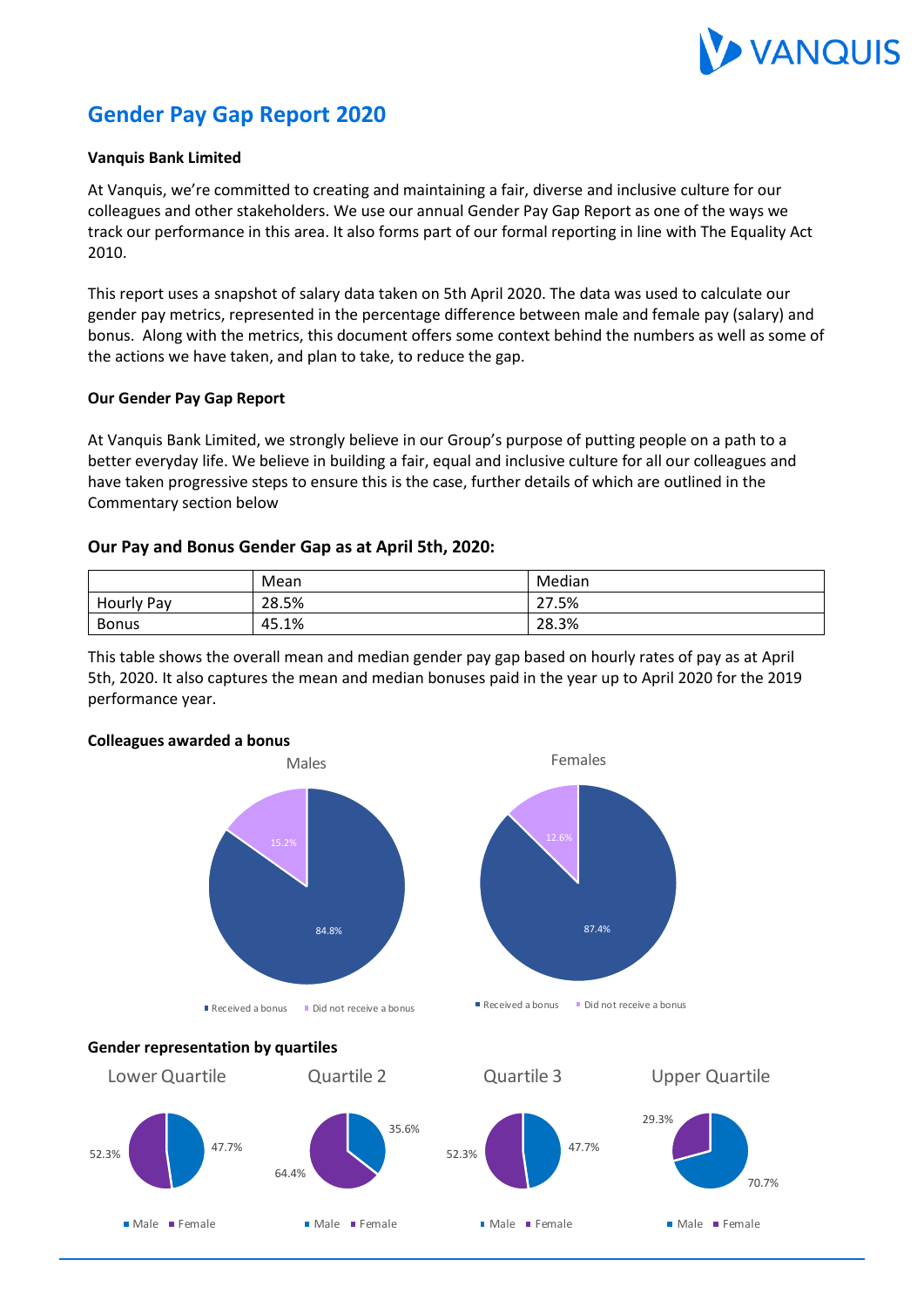

# **Gender Pay Gap Report 2020**

#### **Vanquis Bank Limited**

At Vanquis, we're committed to creating and maintaining a fair, diverse and inclusive culture for our colleagues and other stakeholders. We use our annual Gender Pay Gap Report as one of the ways we track our performance in this area. It also forms part of our formal reporting in line with The Equality Act 2010.

This report uses a snapshot of salary data taken on 5th April 2020. The data was used to calculate our gender pay metrics, represented in the percentage difference between male and female pay (salary) and bonus. Along with the metrics, this document offers some context behind the numbers as well as some of the actions we have taken, and plan to take, to reduce the gap.

#### **Our Gender Pay Gap Report**

At Vanquis Bank Limited, we strongly believe in our Group's purpose of putting people on a path to a better everyday life. We believe in building a fair, equal and inclusive culture for all our colleagues and have taken progressive steps to ensure this is the case, further details of which are outlined in the Commentary section below

#### **Our Pay and Bonus Gender Gap as at April 5th, 2020:**

|              | Mean  | Median |
|--------------|-------|--------|
| Hourly Pay   | 28.5% | 27.5%  |
| <b>Bonus</b> | 45.1% | 28.3%  |

This table shows the overall mean and median gender pay gap based on hourly rates of pay as at April 5th, 2020. It also captures the mean and median bonuses paid in the year up to April 2020 for the 2019 performance year.

## **Colleagues awarded a bonus Gender representation by quartiles** 87.4% Females Received a bonus Did not receive a bonus 84.8% Males Received a bonus Did not receive a bonus 47.7% 52.3% Lower Quartile Male Female 35.6% 64.4% Quartile 2 Male **Female** 47.7% 52.3% Quartile 3 Male Female 70.7% 29.3% Upper Quartile Male **Female**